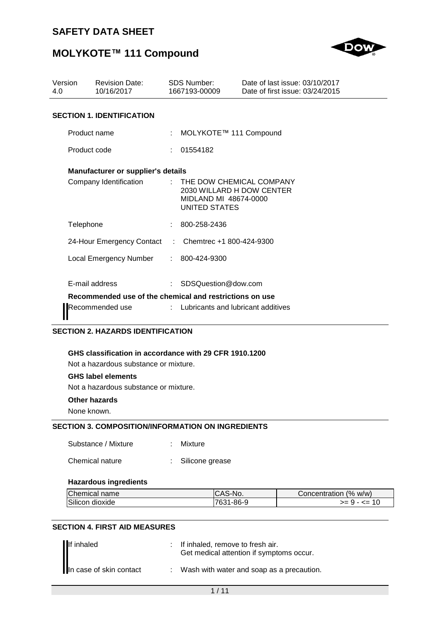

# **MOLYKOTE™ 111 Compound**

| Version<br>4.0 | <b>Revision Date:</b><br>10/16/2017                                 |                               | <b>SDS Number:</b><br>1667193-00009                                                                   | Date of last issue: 03/10/2017<br>Date of first issue: 03/24/2015 |
|----------------|---------------------------------------------------------------------|-------------------------------|-------------------------------------------------------------------------------------------------------|-------------------------------------------------------------------|
|                | <b>SECTION 1. IDENTIFICATION</b>                                    |                               |                                                                                                       |                                                                   |
| Product name   |                                                                     |                               | MOLYKOTE™ 111 Compound                                                                                |                                                                   |
| Product code   |                                                                     |                               | 01554182                                                                                              |                                                                   |
|                | <b>Manufacturer or supplier's details</b><br>Company Identification |                               | $\pm$ THE DOW CHEMICAL COMPANY<br>2030 WILLARD H DOW CENTER<br>MIDLAND MI 48674-0000<br>UNITED STATES |                                                                   |
| Telephone      |                                                                     |                               | 800-258-2436                                                                                          |                                                                   |
|                | 24-Hour Emergency Contact                                           | $\mathcal{L}^{\mathcal{L}}$ . | Chemtrec +1 800-424-9300                                                                              |                                                                   |
|                | Local Emergency Number                                              |                               | : 800-424-9300                                                                                        |                                                                   |
|                | E-mail address                                                      |                               | $\therefore$ SDSQuestion@dow.com                                                                      |                                                                   |
|                | Recommended use of the chemical and restrictions on use             |                               |                                                                                                       |                                                                   |
|                | Recommended use                                                     |                               | : Lubricants and lubricant additives                                                                  |                                                                   |

### **SECTION 2. HAZARDS IDENTIFICATION**

#### **GHS classification in accordance with 29 CFR 1910.1200**

Not a hazardous substance or mixture.

#### **GHS label elements**

Not a hazardous substance or mixture.

**Other hazards**

None known.

### **SECTION 3. COMPOSITION/INFORMATION ON INGREDIENTS**

| Substance / Mixture |  | Mixture |
|---------------------|--|---------|
|                     |  |         |

| Chemical nature |  | Silicone grease |
|-----------------|--|-----------------|
|-----------------|--|-----------------|

#### **Hazardous ingredients**

| Chemical name   | ICAS-No.       | Concentration (% w/w) |
|-----------------|----------------|-----------------------|
| Silicon dioxide | 1-86-9<br>7631 | >= 난 - <=             |

#### **SECTION 4. FIRST AID MEASURES**

| If inhaled<br>In case of skin contact | : If inhaled, remove to fresh air.<br>Get medical attention if symptoms occur. |
|---------------------------------------|--------------------------------------------------------------------------------|
|                                       | Wash with water and soap as a precaution.                                      |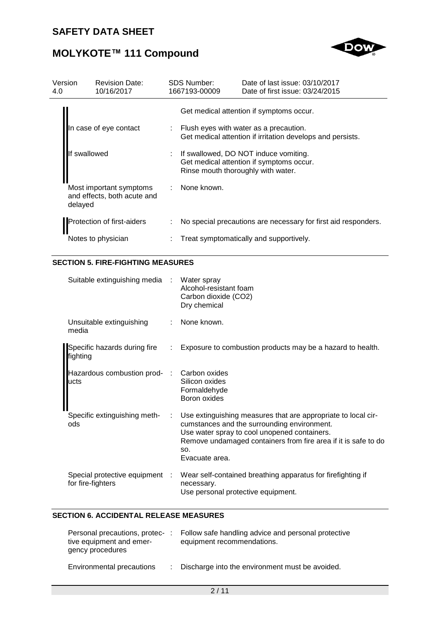

# **MOLYKOTE™ 111 Compound**

| Version<br>4.0 | <b>Revision Date:</b><br>10/16/2017                    | <b>SDS Number:</b><br>1667193-00009 | Date of last issue: 03/10/2017<br>Date of first issue: 03/24/2015                                    |
|----------------|--------------------------------------------------------|-------------------------------------|------------------------------------------------------------------------------------------------------|
|                |                                                        |                                     | Get medical attention if symptoms occur.                                                             |
|                | In case of eye contact                                 |                                     | Flush eyes with water as a precaution.<br>Get medical attention if irritation develops and persists. |
| swallowed      |                                                        | Rinse mouth thoroughly with water.  | : If swallowed, DO NOT induce vomiting.<br>Get medical attention if symptoms occur.                  |
| delayed        | Most important symptoms<br>and effects, both acute and | : None known.                       |                                                                                                      |
|                | Protection of first-aiders                             |                                     | No special precautions are necessary for first aid responders.                                       |
|                | Notes to physician                                     |                                     | Treat symptomatically and supportively.                                                              |

#### **SECTION 5. FIRE-FIGHTING MEASURES**

| Suitable extinguishing media :                      |    | Water spray<br>Alcohol-resistant foam<br>Carbon dioxide (CO2)<br>Dry chemical                                                                                                                                                                           |
|-----------------------------------------------------|----|---------------------------------------------------------------------------------------------------------------------------------------------------------------------------------------------------------------------------------------------------------|
| Unsuitable extinguishing<br>media                   | ÷. | None known.                                                                                                                                                                                                                                             |
| Specific hazards during fire<br>tighting            | ÷  | Exposure to combustion products may be a hazard to health.                                                                                                                                                                                              |
| Hazardous combustion prod-<br>ucts                  |    | Carbon oxides<br>Silicon oxides<br>Formaldehyde<br>Boron oxides                                                                                                                                                                                         |
| Specific extinguishing meth-<br>ods                 | ÷  | Use extinguishing measures that are appropriate to local cir-<br>cumstances and the surrounding environment.<br>Use water spray to cool unopened containers.<br>Remove undamaged containers from fire area if it is safe to do<br>SO.<br>Evacuate area. |
| Special protective equipment :<br>for fire-fighters |    | Wear self-contained breathing apparatus for firefighting if<br>necessary.<br>Use personal protective equipment.                                                                                                                                         |

## **SECTION 6. ACCIDENTAL RELEASE MEASURES**

| Personal precautions, protec-<br>tive equipment and emer-<br>gency procedures | Follow safe handling advice and personal protective<br>equipment recommendations. |
|-------------------------------------------------------------------------------|-----------------------------------------------------------------------------------|
| Environmental precautions                                                     | : Discharge into the environment must be avoided.                                 |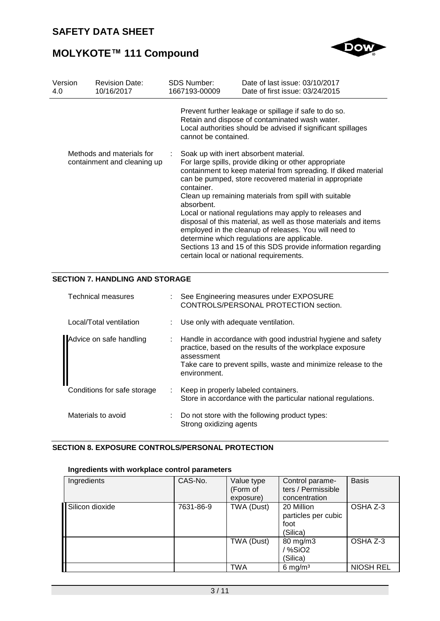

# **MOLYKOTE™ 111 Compound**

| Version<br>4.0 | <b>Revision Date:</b><br>10/16/2017                      | <b>SDS Number:</b><br>1667193-00009 | Date of last issue: 03/10/2017<br>Date of first issue: 03/24/2015                                                                                                                                                                                                                                                                                                                                                                                                                                                                                                                                                                     |
|----------------|----------------------------------------------------------|-------------------------------------|---------------------------------------------------------------------------------------------------------------------------------------------------------------------------------------------------------------------------------------------------------------------------------------------------------------------------------------------------------------------------------------------------------------------------------------------------------------------------------------------------------------------------------------------------------------------------------------------------------------------------------------|
|                |                                                          | cannot be contained.                | Prevent further leakage or spillage if safe to do so.<br>Retain and dispose of contaminated wash water.<br>Local authorities should be advised if significant spillages                                                                                                                                                                                                                                                                                                                                                                                                                                                               |
|                | Methods and materials for<br>containment and cleaning up | container.<br>absorbent.            | Soak up with inert absorbent material.<br>For large spills, provide diking or other appropriate<br>containment to keep material from spreading. If diked material<br>can be pumped, store recovered material in appropriate<br>Clean up remaining materials from spill with suitable<br>Local or national regulations may apply to releases and<br>disposal of this material, as well as those materials and items<br>employed in the cleanup of releases. You will need to<br>determine which regulations are applicable.<br>Sections 13 and 15 of this SDS provide information regarding<br>certain local or national requirements. |

#### **SECTION 7. HANDLING AND STORAGE**

| Technical measures          | : See Engineering measures under EXPOSURE<br>CONTROLS/PERSONAL PROTECTION section.                                                                                                                                         |
|-----------------------------|----------------------------------------------------------------------------------------------------------------------------------------------------------------------------------------------------------------------------|
| Local/Total ventilation     | : Use only with adequate ventilation.                                                                                                                                                                                      |
|                             | : Handle in accordance with good industrial hygiene and safety<br>practice, based on the results of the workplace exposure<br>assessment<br>Take care to prevent spills, waste and minimize release to the<br>environment. |
| Conditions for safe storage | : Keep in properly labeled containers.<br>Store in accordance with the particular national regulations.                                                                                                                    |
| Materials to avoid          | $\therefore$ Do not store with the following product types:<br>Strong oxidizing agents                                                                                                                                     |

#### **SECTION 8. EXPOSURE CONTROLS/PERSONAL PROTECTION**

## **Ingredients with workplace control parameters**

| Ingredients     | CAS-No.   | Value type<br>(Form of<br>exposure) | Control parame-<br>ters / Permissible<br>concentration | <b>Basis</b>     |
|-----------------|-----------|-------------------------------------|--------------------------------------------------------|------------------|
| Silicon dioxide | 7631-86-9 | TWA (Dust)                          | 20 Million<br>particles per cubic<br>foot<br>(Silica)  | OSHA Z-3         |
|                 |           | TWA (Dust)                          | 80 mg/m3<br>/%SiO2<br>(Silica)                         | OSHA Z-3         |
|                 |           | TWA                                 | $6 \text{ mg/m}^3$                                     | <b>NIOSH REL</b> |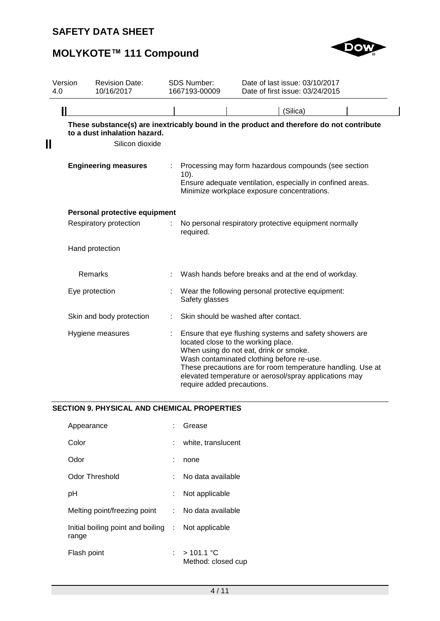



| Version<br>4.0 | <b>Revision Date:</b><br>10/16/2017 | SDS Number:<br>1667193-00009 | Date of last issue: 03/10/2017<br>Date of first issue: 03/24/2015                                                                                                                                                                                                                                                                            |  |
|----------------|-------------------------------------|------------------------------|----------------------------------------------------------------------------------------------------------------------------------------------------------------------------------------------------------------------------------------------------------------------------------------------------------------------------------------------|--|
| $\blacksquare$ |                                     |                              | (Silica)                                                                                                                                                                                                                                                                                                                                     |  |
|                | to a dust inhalation hazard.        |                              | These substance(s) are inextricably bound in the product and therefore do not contribute                                                                                                                                                                                                                                                     |  |
|                | Silicon dioxide                     |                              |                                                                                                                                                                                                                                                                                                                                              |  |
|                | <b>Engineering measures</b>         | $10$ ).                      | Processing may form hazardous compounds (see section<br>Ensure adequate ventilation, especially in confined areas.<br>Minimize workplace exposure concentrations.                                                                                                                                                                            |  |
|                | Personal protective equipment       |                              |                                                                                                                                                                                                                                                                                                                                              |  |
|                | Respiratory protection              | required.                    | No personal respiratory protective equipment normally                                                                                                                                                                                                                                                                                        |  |
|                | Hand protection                     |                              |                                                                                                                                                                                                                                                                                                                                              |  |
|                | Remarks                             |                              | Wash hands before breaks and at the end of workday.                                                                                                                                                                                                                                                                                          |  |
|                | Eye protection                      | Safety glasses               | Wear the following personal protective equipment:                                                                                                                                                                                                                                                                                            |  |
|                | Skin and body protection            |                              | Skin should be washed after contact.                                                                                                                                                                                                                                                                                                         |  |
|                | Hygiene measures                    |                              | Ensure that eye flushing systems and safety showers are<br>located close to the working place.<br>When using do not eat, drink or smoke.<br>Wash contaminated clothing before re-use.<br>These precautions are for room temperature handling. Use at<br>elevated temperature or aerosol/spray applications may<br>require added precautions. |  |

## **SECTION 9. PHYSICAL AND CHEMICAL PROPERTIES**

| Appearance                                                  |    | Grease                            |
|-------------------------------------------------------------|----|-----------------------------------|
| Color                                                       | t. | white, translucent                |
| Odor                                                        |    | none                              |
| Odor Threshold                                              | t. | No data available                 |
| рH                                                          | t. | Not applicable                    |
| Melting point/freezing point :                              |    | No data available                 |
| Initial boiling point and boiling : Not applicable<br>range |    |                                   |
| Flash point                                                 | t. | $>101.1$ °C<br>Method: closed cup |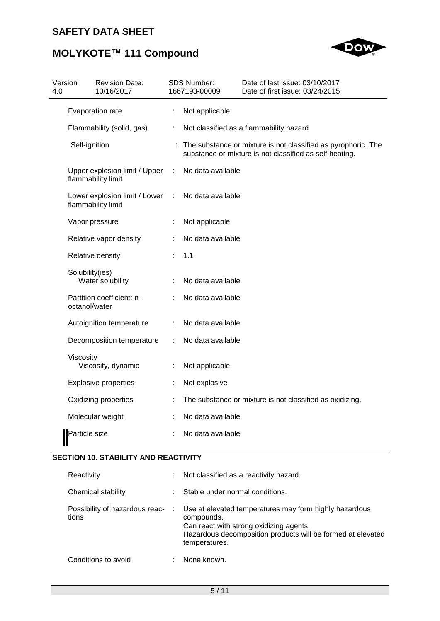



| 4.0 | Version            | <b>Revision Date:</b><br>10/16/2017 |   | SDS Number:<br>1667193-00009 | Date of last issue: 03/10/2017<br>Date of first issue: 03/24/2015                                                        |
|-----|--------------------|-------------------------------------|---|------------------------------|--------------------------------------------------------------------------------------------------------------------------|
|     | Evaporation rate   |                                     |   | Not applicable               |                                                                                                                          |
|     |                    | Flammability (solid, gas)           |   |                              | Not classified as a flammability hazard                                                                                  |
|     | Self-ignition      |                                     |   |                              | The substance or mixture is not classified as pyrophoric. The<br>substance or mixture is not classified as self heating. |
|     | flammability limit | Upper explosion limit / Upper       | ÷ | No data available            |                                                                                                                          |
|     | flammability limit | Lower explosion limit / Lower       |   | No data available            |                                                                                                                          |
|     | Vapor pressure     |                                     |   | Not applicable               |                                                                                                                          |
|     |                    | Relative vapor density              |   | No data available            |                                                                                                                          |
|     | Relative density   |                                     |   | 1.1                          |                                                                                                                          |
|     | Solubility(ies)    | Water solubility                    |   | No data available            |                                                                                                                          |
|     | octanol/water      | Partition coefficient: n-           |   | No data available            |                                                                                                                          |
|     |                    | Autoignition temperature            |   | No data available            |                                                                                                                          |
|     |                    | Decomposition temperature           |   | No data available            |                                                                                                                          |
|     | Viscosity          | Viscosity, dynamic                  |   | Not applicable               |                                                                                                                          |
|     |                    | <b>Explosive properties</b>         |   | Not explosive                |                                                                                                                          |
|     |                    | Oxidizing properties                |   |                              | The substance or mixture is not classified as oxidizing.                                                                 |
|     | Molecular weight   |                                     |   | No data available            |                                                                                                                          |
|     | Particle size      |                                     |   | No data available            |                                                                                                                          |

## **SECTION 10. STABILITY AND REACTIVITY**

| Reactivity                              |            | Not classified as a reactivity hazard.                                                                                                                                                          |
|-----------------------------------------|------------|-------------------------------------------------------------------------------------------------------------------------------------------------------------------------------------------------|
| Chemical stability                      |            | Stable under normal conditions.                                                                                                                                                                 |
| Possibility of hazardous reac-<br>tions | $\sim 100$ | Use at elevated temperatures may form highly hazardous<br>compounds.<br>Can react with strong oxidizing agents.<br>Hazardous decomposition products will be formed at elevated<br>temperatures. |
| Conditions to avoid                     |            | None known.                                                                                                                                                                                     |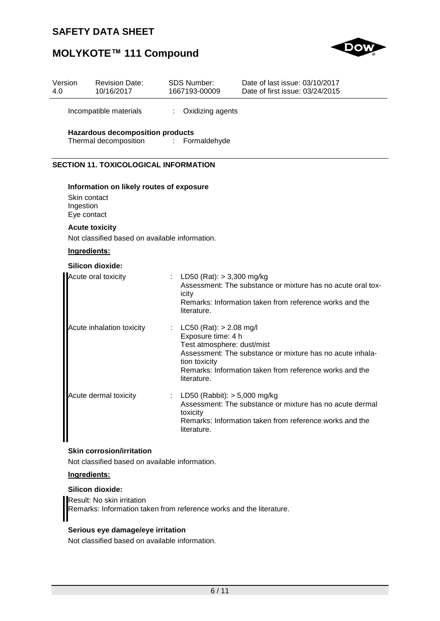

# **MOLYKOTE™ 111 Compound**

| Version<br>4.0 | <b>Revision Date:</b><br>10/16/2017            |    | <b>SDS Number:</b><br>1667193-00009                                                                             | Date of last issue: 03/10/2017<br>Date of first issue: 03/24/2015                                                      |
|----------------|------------------------------------------------|----|-----------------------------------------------------------------------------------------------------------------|------------------------------------------------------------------------------------------------------------------------|
|                | Incompatible materials                         |    | : Oxidizing agents                                                                                              |                                                                                                                        |
|                | <b>Hazardous decomposition products</b>        |    |                                                                                                                 |                                                                                                                        |
|                | Thermal decomposition                          | ÷. | Formaldehyde                                                                                                    |                                                                                                                        |
|                | <b>SECTION 11. TOXICOLOGICAL INFORMATION</b>   |    |                                                                                                                 |                                                                                                                        |
|                | Information on likely routes of exposure       |    |                                                                                                                 |                                                                                                                        |
|                | Skin contact<br>Ingestion<br>Eye contact       |    |                                                                                                                 |                                                                                                                        |
|                | <b>Acute toxicity</b>                          |    |                                                                                                                 |                                                                                                                        |
|                | Not classified based on available information. |    |                                                                                                                 |                                                                                                                        |
|                | Ingredients:                                   |    |                                                                                                                 |                                                                                                                        |
|                | Silicon dioxide:                               |    |                                                                                                                 |                                                                                                                        |
|                | Acute oral toxicity                            |    | : LD50 (Rat): $> 3,300$ mg/kg<br>icity<br>literature.                                                           | Assessment: The substance or mixture has no acute oral tox-<br>Remarks: Information taken from reference works and the |
|                | Acute inhalation toxicity                      |    | $LC50$ (Rat): $> 2.08$ mg/l<br>Exposure time: 4 h<br>Test atmosphere: dust/mist<br>tion toxicity<br>literature. | Assessment: The substance or mixture has no acute inhala-<br>Remarks: Information taken from reference works and the   |
|                | Acute dermal toxicity                          |    | LD50 (Rabbit): $> 5,000$ mg/kg<br>toxicity<br>literature.                                                       | Assessment: The substance or mixture has no acute dermal<br>Remarks: Information taken from reference works and the    |

#### **Skin corrosion/irritation**

Not classified based on available information.

#### **Ingredients:**

## **Silicon dioxide:**

Result: No skin irritation Remarks: Information taken from reference works and the literature.

#### **Serious eye damage/eye irritation**

Not classified based on available information.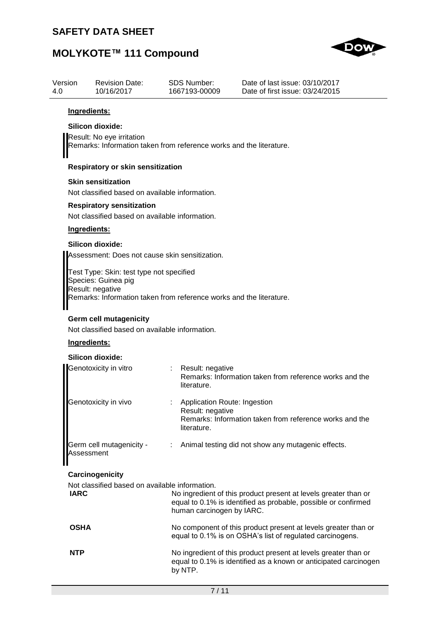# **MOLYKOTE™ 111 Compound**



| Version<br>4.0 | <b>Revision Date:</b><br>10/16/2017                                                 | <b>SDS Number:</b><br>1667193-00009                                 | Date of last issue: 03/10/2017<br>Date of first issue: 03/24/2015                                                                   |
|----------------|-------------------------------------------------------------------------------------|---------------------------------------------------------------------|-------------------------------------------------------------------------------------------------------------------------------------|
|                | Ingredients:                                                                        |                                                                     |                                                                                                                                     |
|                | Silicon dioxide:                                                                    |                                                                     |                                                                                                                                     |
|                | Result: No eye irritation                                                           | Remarks: Information taken from reference works and the literature. |                                                                                                                                     |
|                | <b>Respiratory or skin sensitization</b>                                            |                                                                     |                                                                                                                                     |
|                | <b>Skin sensitization</b>                                                           |                                                                     |                                                                                                                                     |
|                | Not classified based on available information.                                      |                                                                     |                                                                                                                                     |
|                | <b>Respiratory sensitization</b>                                                    |                                                                     |                                                                                                                                     |
|                | Not classified based on available information.                                      |                                                                     |                                                                                                                                     |
|                | Ingredients:                                                                        |                                                                     |                                                                                                                                     |
|                | Silicon dioxide:                                                                    |                                                                     |                                                                                                                                     |
|                |                                                                                     | Assessment: Does not cause skin sensitization.                      |                                                                                                                                     |
|                | Test Type: Skin: test type not specified<br>Species: Guinea pig<br>Result: negative | Remarks: Information taken from reference works and the literature. |                                                                                                                                     |
|                | Ingredients:<br>Silicon dioxide:                                                    |                                                                     |                                                                                                                                     |
|                | Genotoxicity in vitro                                                               | Result: negative<br>literature.                                     | Remarks: Information taken from reference works and the                                                                             |
|                | Genotoxicity in vivo                                                                | Application Route: Ingestion                                        |                                                                                                                                     |
|                |                                                                                     | Result: negative<br>literature.                                     | Remarks: Information taken from reference works and the                                                                             |
|                | Germ cell mutagenicity -<br>Assessment                                              | ÷                                                                   | Animal testing did not show any mutagenic effects.                                                                                  |
|                | Carcinogenicity                                                                     |                                                                     |                                                                                                                                     |
|                | Not classified based on available information.                                      |                                                                     |                                                                                                                                     |
| <b>IARC</b>    |                                                                                     | human carcinogen by IARC.                                           | No ingredient of this product present at levels greater than or<br>equal to 0.1% is identified as probable, possible or confirmed   |
| <b>OSHA</b>    |                                                                                     |                                                                     | No component of this product present at levels greater than or<br>equal to 0.1% is on OSHA's list of regulated carcinogens.         |
| <b>NTP</b>     |                                                                                     | by NTP.                                                             | No ingredient of this product present at levels greater than or<br>equal to 0.1% is identified as a known or anticipated carcinogen |
|                |                                                                                     | 7/11                                                                |                                                                                                                                     |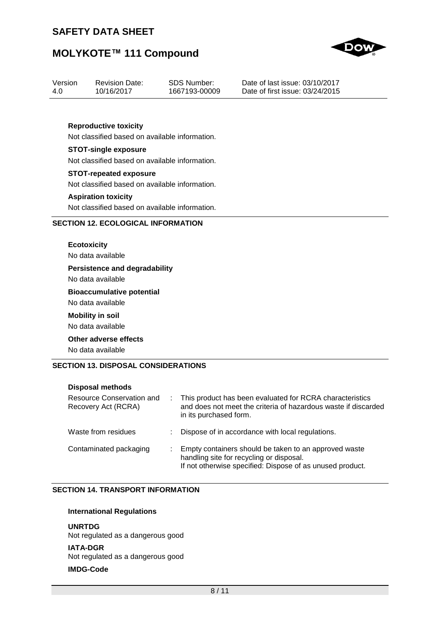# **MOLYKOTE™ 111 Compound**



| Version | <b>Revision Date:</b> | SDS Number:   | Date of last issue: 03/10/2017  |
|---------|-----------------------|---------------|---------------------------------|
| 4.0     | 10/16/2017            | 1667193-00009 | Date of first issue: 03/24/2015 |

#### **Reproductive toxicity**

Not classified based on available information.

#### **STOT-single exposure**

Not classified based on available information.

#### **STOT-repeated exposure**

Not classified based on available information.

#### **Aspiration toxicity**

Not classified based on available information.

#### **SECTION 12. ECOLOGICAL INFORMATION**

**Ecotoxicity** No data available **Persistence and degradability** No data available **Bioaccumulative potential** No data available **Mobility in soil** No data available **Other adverse effects** No data available

#### **SECTION 13. DISPOSAL CONSIDERATIONS**

#### **Disposal methods**

| Resource Conservation and<br>Recovery Act (RCRA) | : This product has been evaluated for RCRA characteristics<br>and does not meet the criteria of hazardous waste if discarded<br>in its purchased form.         |
|--------------------------------------------------|----------------------------------------------------------------------------------------------------------------------------------------------------------------|
| Waste from residues                              | Dispose of in accordance with local regulations.                                                                                                               |
| Contaminated packaging                           | Empty containers should be taken to an approved waste<br>handling site for recycling or disposal.<br>If not otherwise specified: Dispose of as unused product. |

#### **SECTION 14. TRANSPORT INFORMATION**

#### **International Regulations**

**UNRTDG**

Not regulated as a dangerous good

**IATA-DGR**

Not regulated as a dangerous good

#### **IMDG-Code**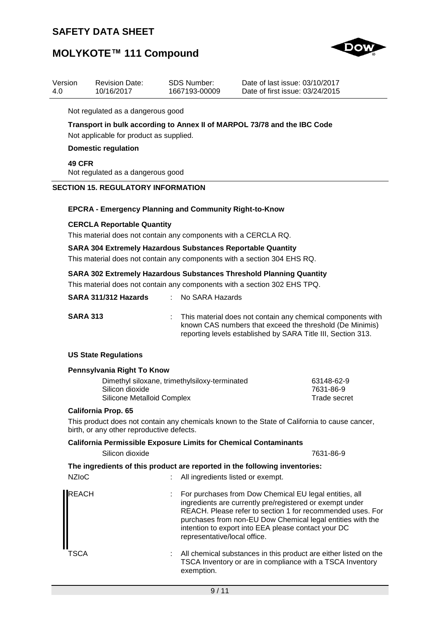

# **MOLYKOTE™ 111 Compound**

| Version | Revision Date: | SDS Number:   | Date of last issue: 03/10/2017  |
|---------|----------------|---------------|---------------------------------|
| 4.0     | 10/16/2017     | 1667193-00009 | Date of first issue: 03/24/2015 |

Not regulated as a dangerous good

#### **Transport in bulk according to Annex II of MARPOL 73/78 and the IBC Code**

Not applicable for product as supplied.

#### **Domestic regulation**

**49 CFR**

Not regulated as a dangerous good

#### **SECTION 15. REGULATORY INFORMATION**

#### **EPCRA - Emergency Planning and Community Right-to-Know**

#### **CERCLA Reportable Quantity**

This material does not contain any components with a CERCLA RQ.

#### **SARA 304 Extremely Hazardous Substances Reportable Quantity**

This material does not contain any components with a section 304 EHS RQ.

#### **SARA 302 Extremely Hazardous Substances Threshold Planning Quantity**

This material does not contain any components with a section 302 EHS TPQ.

| SARA 311/312 Hazards |  | No SARA Hazards |
|----------------------|--|-----------------|
|----------------------|--|-----------------|

**SARA 313** : This material does not contain any chemical components with known CAS numbers that exceed the threshold (De Minimis) reporting levels established by SARA Title III, Section 313.

#### **US State Regulations**

#### **Pennsylvania Right To Know**

| Dimethyl siloxane, trimethylsiloxy-terminated | 63148-62-9   |
|-----------------------------------------------|--------------|
| Silicon dioxide                               | 7631-86-9    |
| Silicone Metalloid Complex                    | Trade secret |

#### **California Prop. 65**

This product does not contain any chemicals known to the State of California to cause cancer, birth, or any other reproductive defects.

#### **California Permissible Exposure Limits for Chemical Contaminants**

Silicon dioxide 7631-86-9 **The ingredients of this product are reported in the following inventories:** NZIoC : All ingredients listed or exempt. REACH : For purchases from Dow Chemical EU legal entities, all ingredients are currently pre/registered or exempt under REACH. Please refer to section 1 for recommended uses. For purchases from non-EU Dow Chemical legal entities with the intention to export into EEA please contact your DC representative/local office. TSCA : All chemical substances in this product are either listed on the TSCA Inventory or are in compliance with a TSCA Inventory exemption.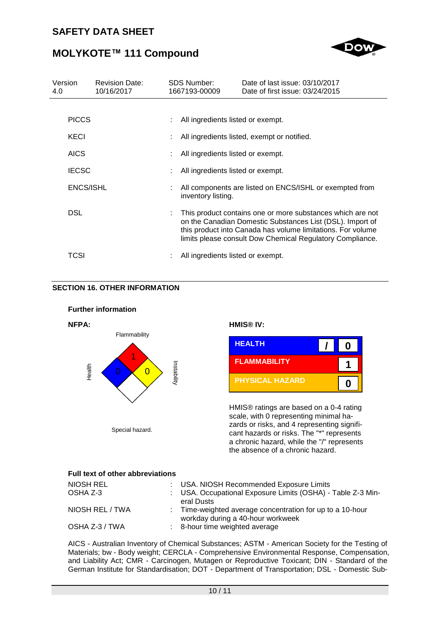

# **MOLYKOTE™ 111 Compound**

| Version<br>4.0 | <b>Revision Date:</b><br>10/16/2017 | <b>SDS Number:</b><br>1667193-00009 | Date of last issue: 03/10/2017<br>Date of first issue: 03/24/2015                                                                                                                                                                                   |
|----------------|-------------------------------------|-------------------------------------|-----------------------------------------------------------------------------------------------------------------------------------------------------------------------------------------------------------------------------------------------------|
|                |                                     |                                     |                                                                                                                                                                                                                                                     |
| <b>PICCS</b>   |                                     | All ingredients listed or exempt.   |                                                                                                                                                                                                                                                     |
| KECI           |                                     |                                     | All ingredients listed, exempt or notified.                                                                                                                                                                                                         |
| <b>AICS</b>    |                                     | All ingredients listed or exempt.   |                                                                                                                                                                                                                                                     |
| <b>IECSC</b>   |                                     | All ingredients listed or exempt.   |                                                                                                                                                                                                                                                     |
| ENCS/ISHL      |                                     | inventory listing.                  | All components are listed on ENCS/ISHL or exempted from                                                                                                                                                                                             |
| <b>DSL</b>     |                                     |                                     | This product contains one or more substances which are not<br>on the Canadian Domestic Substances List (DSL). Import of<br>this product into Canada has volume limitations. For volume<br>limits please consult Dow Chemical Regulatory Compliance. |
| TCSI           |                                     | All ingredients listed or exempt.   |                                                                                                                                                                                                                                                     |

#### **SECTION 16. OTHER INFORMATION**



| <b>Full text of other abbreviations</b> |  |                                                                                                |  |  |
|-----------------------------------------|--|------------------------------------------------------------------------------------------------|--|--|
| NIOSH REL                               |  | : USA. NIOSH Recommended Exposure Limits                                                       |  |  |
| OSHA Z-3                                |  | : USA. Occupational Exposure Limits (OSHA) - Table Z-3 Min-<br>eral Dusts                      |  |  |
| NIOSH REL / TWA                         |  | : Time-weighted average concentration for up to a 10-hour<br>workday during a 40-hour workweek |  |  |
| OSHA Z-3 / TWA                          |  | : 8-hour time weighted average                                                                 |  |  |

the absence of a chronic hazard.

AICS - Australian Inventory of Chemical Substances; ASTM - American Society for the Testing of Materials; bw - Body weight; CERCLA - Comprehensive Environmental Response, Compensation, and Liability Act; CMR - Carcinogen, Mutagen or Reproductive Toxicant; DIN - Standard of the German Institute for Standardisation; DOT - Department of Transportation; DSL - Domestic Sub-